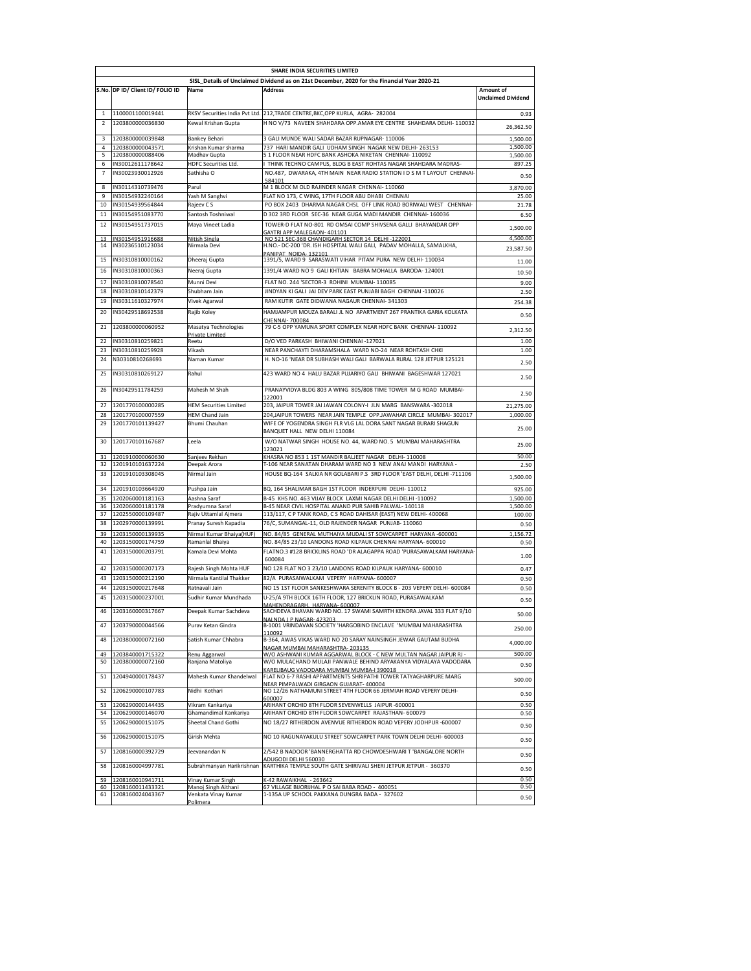|                                                                                             | SHARE INDIA SECURITIES LIMITED             |                                                |                                                                                                                                            |                           |  |  |  |  |
|---------------------------------------------------------------------------------------------|--------------------------------------------|------------------------------------------------|--------------------------------------------------------------------------------------------------------------------------------------------|---------------------------|--|--|--|--|
| SISL_Details of Unclaimed Dividend as on 21st December, 2020 for the Financial Year 2020-21 |                                            |                                                |                                                                                                                                            |                           |  |  |  |  |
|                                                                                             | S.No. DP ID/ Client ID/ FOLIO ID           | Name                                           | <b>Address</b>                                                                                                                             | Amount of                 |  |  |  |  |
|                                                                                             |                                            |                                                |                                                                                                                                            | <b>Unclaimed Dividend</b> |  |  |  |  |
|                                                                                             | 1100001100019441                           |                                                | RKSV Securities India Pvt Ltd. 212, TRADE CENTRE, BKC, OPP KURLA, AGRA- 282004                                                             | 0.93                      |  |  |  |  |
| $\overline{2}$                                                                              | 1203800000036830                           | Kewal Krishan Gupta                            | H NO V/73 NAVEEN SHAHDARA OPP.AMAR EYE CENTRE SHAHDARA DELHI-110032                                                                        | 26,362.50                 |  |  |  |  |
| 3                                                                                           | 1203800000039848                           |                                                | 3 GALI MUNDE WALI SADAR BAZAR RUPNAGAR-110006                                                                                              |                           |  |  |  |  |
| $\overline{4}$                                                                              | 1203800000043571                           | Bankey Behari<br><u>Krishan Kumar sharma</u>   | 737 HARI MANDIR GALI UDHAM SINGH NAGAR NEW DELHI- 263153                                                                                   | 1,500.00<br>1,500.00      |  |  |  |  |
| 5                                                                                           | 1203800000088406                           | Madhay Gupta                                   | 51 FLOOR NEAR HDFC BANK ASHOKA NIKETAN CHENNAI-110092                                                                                      | 1,500.00                  |  |  |  |  |
| 6                                                                                           | IN30012611178642                           | <b>HDFC Securities Ltd.</b>                    | THINK TECHNO CAMPUS, BLDG B EAST ROHTAS NAGAR SHAHDARA MADRAS-                                                                             | 897.25                    |  |  |  |  |
| 7                                                                                           | IN30023930012926                           | Sathisha O                                     | NO.487, DWARAKA, 4TH MAIN NEAR RADIO STATION I D S M T LAYOUT CHENNAI-                                                                     | 0.50                      |  |  |  |  |
| 8                                                                                           | IN30114310739476                           | Parul                                          | 584101<br>M 1 BLOCK M OLD RAJINDER NAGAR CHENNAI-110060                                                                                    | 3,870.00                  |  |  |  |  |
| 9                                                                                           | IN30154932240164                           | Yash M Sanghvi                                 | FLAT NO 173, C WING, 17TH FLOOR ABU DHABI CHENNAI                                                                                          | 25.00                     |  |  |  |  |
| 10                                                                                          | IN30154939564844                           | Rajeev C S                                     | PO BOX 2403 DHARMA NAGAR CHSL OFF LINK ROAD BORIWALI WEST CHENNAI-                                                                         | 21.78                     |  |  |  |  |
| 11                                                                                          | IN30154951083770                           | Santosh Toshniwal                              | D 302 3RD FLOOR SEC-36 NEAR GUGA MADI MANDIR CHENNAI- 160036                                                                               | 6.50                      |  |  |  |  |
| 12                                                                                          | IN30154951737015                           | Maya Vineet Ladia                              | TOWER-D FLAT NO-801 RD OMSAI COMP SHIVSENA GALLI BHAYANDAR OPP                                                                             |                           |  |  |  |  |
|                                                                                             |                                            |                                                | GAYTRI APP MALEGAON- 401101                                                                                                                | 1,500.00                  |  |  |  |  |
| 13<br>14                                                                                    | IN30154951916688<br>IN30236510123034       | Nitish Singla<br>Nirmala Devi                  | NO 521 SEC-36B CHANDIGARH SECTOR 14 DELHI -122001<br>H.NO.- DC-200 'DR. ISH HOSPITAL WALI GALI, PADAV MOHALLA, SAMALKHA,                   | 4,500.00                  |  |  |  |  |
|                                                                                             |                                            |                                                | PANIPAT NOIDA-132101                                                                                                                       | 23,587.50                 |  |  |  |  |
| 15                                                                                          | IN30310810000162                           | Dheeraj Gupta                                  | 1391/5, WARD 9 SARASWATI VIHAR PITAM PURA NEW DELHI-110034                                                                                 | 11.00                     |  |  |  |  |
| 16                                                                                          | IN30310810000363                           | Neeraj Gupta                                   | 1391/4 WARD NO 9 GALI KHTIAN BABRA MOHALLA BARODA-124001                                                                                   | 10.50                     |  |  |  |  |
| 17                                                                                          | IN30310810078540                           | Munni Devi                                     | FLAT NO. 244 'SECTOR-3 ROHINI MUMBAI- 110085                                                                                               | 9.00                      |  |  |  |  |
| 18                                                                                          | IN30310810142379                           | Shubham Jain                                   | JINDYAN KI GALI JAI DEV PARK EAST PUNJABI BAGH CHENNAI -110026                                                                             | 2.50                      |  |  |  |  |
| 19                                                                                          | IN30311610327974                           | Vivek Agarwal                                  | RAM KUTIR GATE DIDWANA NAGAUR CHENNAI- 341303                                                                                              | 254.38                    |  |  |  |  |
| 20                                                                                          | IN30429518692538                           | Rajib Koley                                    | HAMJAMPUR MOUZA BARALI JL NO APARTMENT 267 PRANTIKA GARIA KOLKATA                                                                          | 0.50                      |  |  |  |  |
|                                                                                             |                                            |                                                | CHENNAI-700084                                                                                                                             |                           |  |  |  |  |
| 21                                                                                          | 1203800000060952                           | Masatya Technologies<br>Private Limitec        | 79 C-5 OPP YAMUNA SPORT COMPLEX NEAR HDFC BANK CHENNAI-110092                                                                              | 2,312.50                  |  |  |  |  |
| 22                                                                                          | IN30310810259821                           | Reetu                                          | D/O VED PARKASH BHIWANI CHENNAI -127021                                                                                                    | 1.00                      |  |  |  |  |
| 23                                                                                          | IN30310810259928                           | Vikash                                         | NEAR PANCHAYTI DHARAMSHALA WARD NO-24 NEAR ROHTASH CHKI                                                                                    | 1.00                      |  |  |  |  |
| 24                                                                                          | N30310810268693                            | Naman Kumar                                    | H. NO-16 'NEAR DR SUBHASH WALI GALI BARWALA RURAL 128 JETPUR 125121                                                                        | 2.50                      |  |  |  |  |
| 25                                                                                          | IN30310810269127                           | Rahul                                          | 423 WARD NO 4 HALU BAZAR PUJARIYO GALI BHIWANI BAGESHWAR 127021                                                                            |                           |  |  |  |  |
|                                                                                             |                                            |                                                |                                                                                                                                            | 2.50                      |  |  |  |  |
| 26                                                                                          | IN30429511784259                           | Mahesh M Shah                                  | PRANAYVIDYA BLDG 803 A WING 805/808 TIME TOWER M G ROAD MUMBAI-                                                                            | 2.50                      |  |  |  |  |
|                                                                                             | 1201770100000285                           |                                                | 122001                                                                                                                                     |                           |  |  |  |  |
| 27                                                                                          |                                            | <b>HEM Securities Limited</b>                  | 203, JAIPUR TOWER JAI JAWAN COLONY-I JLN MARG BANSWARA -302018                                                                             | 21,275.00                 |  |  |  |  |
| 28<br>29                                                                                    | 1201770100007559<br>1201770101139427       | <b>HEM Chand Jain</b><br>Bhumi Chauhan         | 204, JAIPUR TOWERS NEAR JAIN TEMPLE OPP. JAWAHAR CIRCLE MUMBAI- 302017<br>WIFE OF YOGENDRA SINGH FLR VLG LAL DORA SANT NAGAR BURARI SHAGUN | 1.000.00                  |  |  |  |  |
|                                                                                             |                                            |                                                | BANQUET HALL NEW DELHI 110084                                                                                                              | 25.00                     |  |  |  |  |
| 30                                                                                          | 1201770101167687                           | Leela                                          | W/O NATWAR SINGH HOUSE NO. 44, WARD NO. 5 MUMBAI MAHARASHTRA                                                                               |                           |  |  |  |  |
|                                                                                             |                                            |                                                | 123021                                                                                                                                     | 25.00                     |  |  |  |  |
| 31                                                                                          | 1201910000060630                           | Sanjeev Rekhan                                 | KHASRA NO 853 1 1ST MANDIR BALJEET NAGAR DELHI-110008                                                                                      | 50.00                     |  |  |  |  |
| 32                                                                                          | 1201910101637224                           | Deepak Arora                                   | T-106 NEAR SANATAN DHARAM WARD NO 3 NEW ANAJ MANDI HARYANA -                                                                               | 2.50                      |  |  |  |  |
| 33                                                                                          | 1201910103308045                           | Nirmal Jain                                    | HOUSE BQ-164 SALKIA NR GOLABARI P.S 3RD FLOOR 'EAST DELHI, DELHI -711106                                                                   | 1,500.00                  |  |  |  |  |
| 34                                                                                          | 1201910103664920                           | Pushpa Jain                                    | BQ, 164 SHALIMAR BAGH 1ST FLOOR INDERPURI DELHI- 110012                                                                                    | 925.00                    |  |  |  |  |
| 35                                                                                          | 1202060001181163                           | Aashna Saraf                                   | B-45 KHS NO. 463 VIJAY BLOCK LAXMI NAGAR DELHI DELHI -110092                                                                               | 1,500.00                  |  |  |  |  |
| 36                                                                                          | 1202060001181178                           | Pradyumna Saraf                                | B-45 NEAR CIVIL HOSPITAL ANAND PUR SAHIB PALWAL-140118                                                                                     | 1,500.00                  |  |  |  |  |
| 37<br>38                                                                                    | 1202550000109487<br>1202970000139991       | Rajiv Uttamlal Ajmera<br>Pranay Suresh Kapadia | 113/117, C P TANK ROAD, C S ROAD DAHISAR (EAST) NEW DELHI- 400068<br>76/C, SUMANGAL-11, OLD RAJENDER NAGAR PUNJAB- 110060                  | 100.00                    |  |  |  |  |
|                                                                                             |                                            |                                                |                                                                                                                                            | 0.50                      |  |  |  |  |
| 39<br>40                                                                                    | 1203150000139935<br>1203150000174759       | Nirmal Kumar Bhaiya(HUF)<br>Ramanlal Bhaiya    | NO. 84/85 GENERAL MUTHAIYA MUDALI ST SOWCARPET HARYANA -600001<br>NO. 84/85 23/10 LANDONS ROAD KILPAUK CHENNAI HARYANA- 600010             | 1,156.72<br>0.50          |  |  |  |  |
| 41                                                                                          | 1203150000203791                           | Kamala Devi Mohta                              | FLATNO.3 #128 BRICKLINS ROAD 'DR ALAGAPPA ROAD 'PURASAWALKAM HARYANA                                                                       |                           |  |  |  |  |
|                                                                                             |                                            |                                                | 600084                                                                                                                                     | 1.00                      |  |  |  |  |
| 42                                                                                          | 1203150000207173                           | Rajesh Singh Mohta HUF                         | NO 128 FLAT NO 3 23/10 LANDONS ROAD KILPAUK HARYANA- 600010                                                                                | 0.47                      |  |  |  |  |
| 43                                                                                          | 1203150000212190                           | Nirmala Kantilal Thakker                       | 82/A PURASAIWALKAM VEPERY HARYANA- 600007                                                                                                  | 0.50                      |  |  |  |  |
| 44                                                                                          | 1203150000217648                           | Ratnavali Jain                                 | NO 15 1ST FLOOR SANKESHWARA SERENITY BLOCK B - 203 VEPERY DELHI- 600084                                                                    | 0.50                      |  |  |  |  |
| 45                                                                                          | 1203150000237001                           | Sudhir Kumar Mundhada                          | U-25/A 9TH BLOCK 16TH FLOOR, 127 BRICKLIN ROAD, PURASAWALKAM                                                                               | 0.50                      |  |  |  |  |
| 46                                                                                          | 1203160000317667                           | Deepak Kumar Sachdeva                          | MAHENDRAGARH, HARYANA- 600007<br>SACHDEVA BHAVAN WARD NO. 17 SWAMI SAMRTH KENDRA JAVAL 333 FLAT 9/10                                       |                           |  |  |  |  |
|                                                                                             |                                            |                                                | NAI NDA I P NAGAR-423203                                                                                                                   | 50.00                     |  |  |  |  |
| 47                                                                                          | 1203790000044566                           | Purav Ketan Gindra                             | B-1001 VRINDAVAN SOCIETY 'HARGOBIND ENCLAVE 'MUMBAI MAHARASHTRA                                                                            | 250.00                    |  |  |  |  |
| 48                                                                                          | 1203800000072160                           | Satish Kumar Chhabra                           | 110092<br>B-364, AWAS VIKAS WARD NO 20 SARAY NAINSINGH JEWAR GAUTAM BUDHA                                                                  |                           |  |  |  |  |
|                                                                                             |                                            |                                                | NAGAR MUMBAI MAHARASHTRA-203135                                                                                                            | 4,000.00                  |  |  |  |  |
| 49                                                                                          | 1203840001715322                           | Renu Aggarwal                                  | W/O ASHWANI KUMAR AGGARWAL BLOCK - C NEW MULTAN NAGAR JAIPUR RJ -                                                                          | 500.00                    |  |  |  |  |
| 50                                                                                          | 1203800000072160                           | Ranjana Matoliya                               | W/O MULACHAND MULAJI PANWALE BEHIND ARYAKANYA VIDYALAYA VADODARA<br>KARELIBAUG VADODARA MUMBAI MUMBA-I 390018                              | 0.50                      |  |  |  |  |
| 51                                                                                          | 1204940000178437                           | Mahesh Kumar Khandelwal                        | FLAT NO 6-7 RASHI APPARTMENTS SHRIPATHI TOWER TATYAGHARPURE MARG                                                                           | 500.00                    |  |  |  |  |
|                                                                                             |                                            |                                                | NEAR PIMPALWADI GIRGAON GUJARAT- 400004                                                                                                    |                           |  |  |  |  |
| 52                                                                                          | 1206290000107783                           | Nidhi Kothari                                  | NO 12/26 NATHAMUNI STREET 4TH FLOOR 66 JERMIAH ROAD VEPERY DELHI-<br>600007                                                                | 0.50                      |  |  |  |  |
| 53                                                                                          | 1206290000144435                           | Vikram Kankariya                               | ARIHANT ORCHID 8TH FLOOR SEVENWELLS JAIPUR -600001                                                                                         | 0.50                      |  |  |  |  |
| 54                                                                                          | 1206290000146070                           | Ghamandimal Kankariya                          | ARIHANT ORCHID 8TH FLOOR SOWCARPET RAJASTHAN- 600079                                                                                       | 0.50                      |  |  |  |  |
| 55                                                                                          | 1206290000151075                           | Sheetal Chand Gothi                            | NO 18/27 RITHERDON AVENVUE RITHERDON ROAD VEPERY JODHPUR -600007                                                                           | 0.50                      |  |  |  |  |
| 56                                                                                          | 1206290000151075                           | Girish Mehta                                   | NO 10 RAGUNAYAKULU STREET SOWCARPET PARK TOWN DELHI DELHI- 600003                                                                          |                           |  |  |  |  |
|                                                                                             |                                            |                                                |                                                                                                                                            | 0.50                      |  |  |  |  |
| 57                                                                                          | 1208160000392729                           | Jeevanandan N                                  | 2/542 B NADOOR 'BANNERGHATTA RD CHOWDESHWARI T 'BANGALORE NORTH<br>ADUGODI DELHI 560030                                                    | 0.50                      |  |  |  |  |
| 58                                                                                          | 1208160004997781                           | Subrahmanyan Harikrishnan                      | KARTHIKA TEMPLE SOUTH GATE SHIRIVALI SHERI JETPUR JETPUR - 360370                                                                          | 0.50                      |  |  |  |  |
|                                                                                             |                                            |                                                |                                                                                                                                            | 0.50                      |  |  |  |  |
|                                                                                             | 59 1208160010941711<br>60 1208160011433321 | Vinay Kumar Singh<br>Manoj Singh Aithani       | K-42 RAWAIKHAL - 263642<br>67 VILLAGE BIJORIJHAL P O SAI BABA ROAD - 400051                                                                | 0.50                      |  |  |  |  |
| 61                                                                                          | 1208160024043367                           | Venkata Vinay Kumar                            | 1-135A UP SCHOOL PAKKANA DUNGRA BADA - 327602                                                                                              | 0.50                      |  |  |  |  |
|                                                                                             |                                            | Polimera                                       |                                                                                                                                            |                           |  |  |  |  |